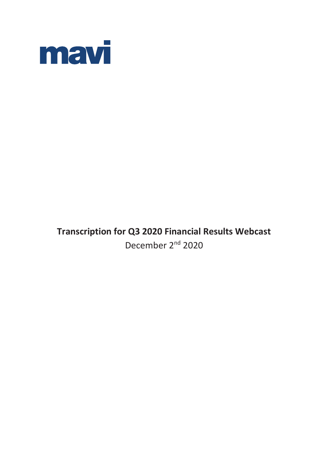

# **Transcription for Q3 2020 Financial Results Webcast** December 2<sup>nd</sup> 2020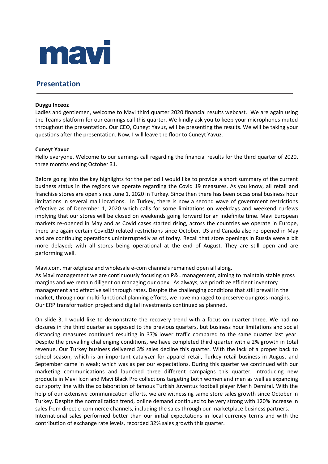

# **Presentation**

# **Duygu Inceoz**

Ladies and gentlemen, welcome to Mavi third quarter 2020 financial results webcast. We are again using the Teams platform for our earnings call this quarter. We kindly ask you to keep your microphones muted throughout the presentation. Our CEO, Cuneyt Yavuz, will be presenting the results. We will be taking your questions after the presentation. Now, I will leave the floor to Cuneyt Yavuz.

# **Cuneyt Yavuz**

Hello everyone. Welcome to our earnings call regarding the financial results for the third quarter of 2020, three months ending October 31.

Before going into the key highlights for the period I would like to provide a short summary of the current business status in the regions we operate regarding the Covid 19 measures. As you know, all retail and franchise stores are open since June 1, 2020 in Turkey. Since then there has been occasional business hour limitations in several mall locations. In Turkey, there is now a second wave of government restrictions effective as of December 1, 2020 which calls for some limitations on weekdays and weekend curfews implying that our stores will be closed on weekends going forward for an indefinite time. Mavi European markets re-opened in May and as Covid cases started rising, across the countries we operate in Europe, there are again certain Covid19 related restrictions since October. US and Canada also re-opened in May and are continuing operations uninterruptedly as of today. Recall that store openings in Russia were a bit more delayed; with all stores being operational at the end of August. They are still open and are performing well.

Mavi.com, marketplace and wholesale e-com channels remained open all along.

As Mavi management we are continuously focusing on P&L management, aiming to maintain stable gross margins and we remain diligent on managing our opex. As always, we prioritize efficient inventory management and effective sell through rates. Despite the challenging conditions that still prevail in the market, through our multi-functional planning efforts, we have managed to preserve our gross margins. Our ERP transformation project and digital investments continued as planned.

On slide 3, I would like to demonstrate the recovery trend with a focus on quarter three. We had no closures in the third quarter as opposed to the previous quarters, but business hour limitations and social distancing measures continued resulting in 37% lower traffic compared to the same quarter last year. Despite the prevailing challenging conditions, we have completed third quarter with a 2% growth in total revenue. Our Turkey business delivered 3% sales decline this quarter. With the lack of a proper back to school season, which is an important catalyzer for apparel retail, Turkey retail business in August and September came in weak; which was as per our expectations. During this quarter we continued with our marketing communications and launched three different campaigns this quarter, introducing new products in Mavi Icon and Mavi Black Pro collections targeting both women and men as well as expanding our sporty line with the collaboration of famous Turkish Juventus football player Merih Demiral. With the help of our extensive communication efforts, we are witnessing same store sales growth since October in Turkey. Despite the normalization trend, online demand continued to be very strong with 120% increase in sales from direct e-commerce channels, including the sales through our marketplace business partners. International sales performed better than our initial expectations in local currency terms and with the contribution of exchange rate levels, recorded 32% sales growth this quarter.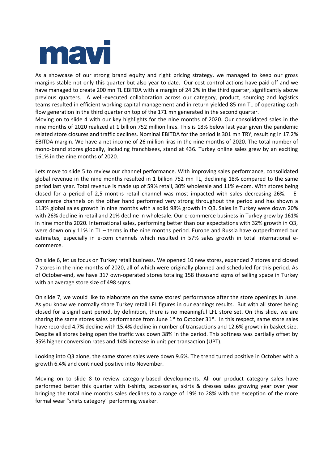

As a showcase of our strong brand equity and right pricing strategy, we managed to keep our gross margins stable not only this quarter but also year to date. Our cost control actions have paid off and we have managed to create 200 mn TL EBITDA with a margin of 24.2% in the third quarter, significantly above previous quarters. A well-executed collaboration across our category, product, sourcing and logistics teams resulted in efficient working capital management and in return yielded 85 mn TL of operating cash flow generation in the third quarter on top of the 171 mn generated in the second quarter.

Moving on to slide 4 with our key highlights for the nine months of 2020. Our consolidated sales in the nine months of 2020 realized at 1 billion 752 million liras. This is 18% below last year given the pandemic related store closures and traffic declines. Nominal EBITDA for the period is 301 mn TRY, resulting in 17.2% EBITDA margin. We have a net income of 26 million liras in the nine months of 2020. The total number of mono-brand stores globally, including franchisees, stand at 436. Turkey online sales grew by an exciting 161% in the nine months of 2020.

Lets move to slide 5 to review our channel performance. With improving sales performance, consolidated global revenue in the nine months resulted in 1 billion 752 mn TL, declining 18% compared to the same period last year. Total revenue is made up of 59% retail, 30% wholesale and 11% e-com. With stores being closed for a period of 2,5 months retail channel was most impacted with sales decreasing 26%. commerce channels on the other hand performed very strong throughout the period and has shown a 113% global sales growth in nine months with a solid 98% growth in Q3. Sales in Turkey were down 20% with 26% decline in retail and 21% decline in wholesale. Our e-commerce business in Turkey grew by 161% in nine months 2020. International sales, performing better than our expectations with 32% growth in Q3, were down only 11% in TL – terms in the nine months period. Europe and Russia have outperformed our estimates, especially in e-com channels which resulted in 57% sales growth in total international ecommerce.

On slide 6, let us focus on Turkey retail business. We opened 10 new stores, expanded 7 stores and closed 7 stores in the nine months of 2020, all of which were originally planned and scheduled for this period. As of October-end, we have 317 own-operated stores totaling 158 thousand sqms of selling space in Turkey with an average store size of 498 sqms.

On slide 7, we would like to elaborate on the same stores' performance after the store openings in June. As you know we normally share Turkey retail LFL figures in our earnings results. But with all stores being closed for a significant period, by definition, there is no meaningful LFL store set. On this slide, we are sharing the same stores sales performance from June  $1<sup>st</sup>$  to October  $31<sup>st</sup>$ . In this respect, same store sales have recorded 4.7% decline with 15.4% decline in number of transactions and 12.6% growth in basket size. Despite all stores being open the traffic was down 38% in the period. This softness was partially offset by 35% higher conversion rates and 14% increase in unit per transaction (UPT).

Looking into Q3 alone, the same stores sales were down 9.6%. The trend turned positive in October with a growth 6.4% and continued positive into November.

Moving on to slide 8 to review category-based developments. All our product category sales have performed better this quarter with t-shirts, accessories, skirts & dresses sales growing year over year bringing the total nine months sales declines to a range of 19% to 28% with the exception of the more formal wear "shirts category" performing weaker.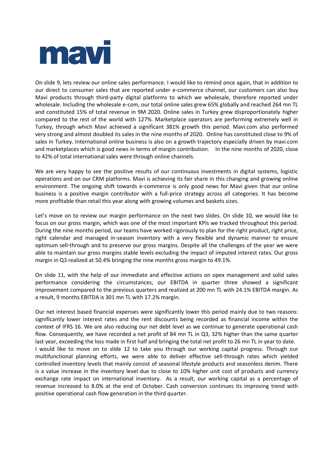

On slide 9, lets review our online sales performance. I would like to remind once again, that in addition to our direct to consumer sales that are reported under e-commerce channel, our customers can also buy Mavi products through third-party digital platforms to which we wholesale, therefore reported under wholesale. Including the wholesale e-com, our total online sales grew 65% globally and reached 264 mn TL and constituted 15% of total revenue in 9M 2020. Online sales in Turkey grew disproportionately higher compared to the rest of the world with 127%. Marketplace operators are performing extremely well in Turkey, through which Mavi achieved a significant 381% growth this period. Mavi.com also performed very strong and almost doubled its sales in the nine months of 2020. Online has constituted close to 9% of sales in Turkey. International online business is also on a growth trajectory especially driven by mavi.com and marketplaces which is good news in terms of margin contribution. In the nine months of 2020, close to 42% of total international sales were through online channels.

We are very happy to see the positive results of our continuous investments in digital systems, logistic operations and on our CRM platforms. Mavi is achieving its fair share in this changing and growing online environment. The ongoing shift towards e-commerce is only good news for Mavi given that our online business is a positive margin contributor with a full-price strategy across all categories. It has become more profitable than retail this year along with growing volumes and baskets sizes.

Let's move on to review our margin performance on the next two slides. On slide 10, we would like to focus on our gross margin, which was one of the most important KPIs we tracked throughout this period. During the nine months period, our teams have worked rigorously to plan for the right product, right price, right calendar and managed in-season inventory with a very flexible and dynamic manner to ensure optimum sell-through and to preserve our gross margins. Despite all the challenges of the year we were able to maintain our gross margins stable levels excluding the impact of imputed interest rates. Our gross margin in Q3 realized at 50.4% bringing the nine months gross margin to 49.1%.

On slide 11, with the help of our immediate and effective actions on opex management and solid sales performance considering the circumstances, our EBITDA in quarter three showed a significant improvement compared to the previous quarters and realized at 200 mn TL with 24.1% EBITDA margin. As a result, 9 months EBITDA is 301 mn TL with 17.2% margin.

Our net interest based financial expenses were significantly lower this period mainly due to two reasons: significantly lower interest rates and the rent discounts being recorded as financial income within the context of IFRS 16. We are also reducing our net debt level as we continue to generate operational cash flow. Consequently, we have recorded a net profit of 84 mn TL in Q3, 32% higher than the same quarter last year, exceeding the loss made in first half and bringing the total net profit to 26 mn TL in year to date. I would like to move on to slide 12 to take you through our working capital progress. Through our multifunctional planning efforts, we were able to deliver effective sell-through rates which yielded controlled inventory levels that mainly consist of seasonal lifestyle products and seasonless denim. There is a value increase in the inventory level due to close to 10% higher unit cost of products and currency exchange rate impact on international inventory. As a result, our working capital as a percentage of revenue increased to 8.0% at the end of October. Cash conversion continues its improving trend with positive operational cash flow generation in the third quarter.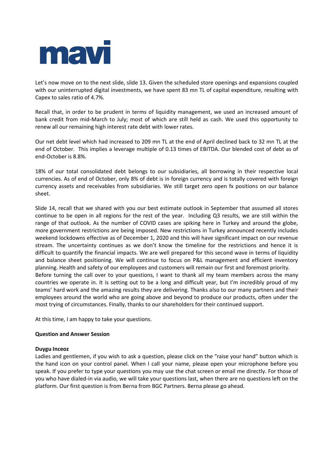

Let's now move on to the next slide, slide 13. Given the scheduled store openings and expansions coupled with our uninterrupted digital investments, we have spent 83 mn TL of capital expenditure, resulting with Capex to sales ratio of 4.7%.

Recall that, in order to be prudent in terms of liquidity management, we used an increased amount of bank credit from mid-March to July; most of which are still held as cash. We used this opportunity to renew all our remaining high interest rate debt with lower rates.

Our net debt level which had increased to 209 mn TL at the end of April declined back to 32 mn TL at the end of October. This implies a leverage multiple of 0.13 times of EBITDA. Our blended cost of debt as of end-October is 8.8%.

18% of our total consolidated debt belongs to our subsidiaries, all borrowing in their respective local currencies. As of end of October, only 8% of debt is in foreign currency and is totally covered with foreign currency assets and receivables from subsidiaries. We still target zero open fx positions on our balance sheet.

Slide 14, recall that we shared with you our best estimate outlook in September that assumed all stores continue to be open in all regions for the rest of the year. Including Q3 results, we are still within the range of that outlook. As the number of COVID cases are spiking here in Turkey and around the globe, more government restrictions are being imposed. New restrictions in Turkey announced recently includes weekend lockdowns effective as of December 1, 2020 and this will have significant impact on our revenue stream. The uncertainty continues as we don't know the timeline for the restrictions and hence it is difficult to quantify the financial impacts. We are well prepared for this second wave in terms of liquidity and balance sheet positioning. We will continue to focus on P&L management and efficient inventory planning. Health and safety of our employees and customers will remain our first and foremost priority. Before turning the call over to your questions, I want to thank all my team members across the many countries we operate in. It is setting out to be a long and difficult year, but I'm incredibly proud of my teams' hard work and the amazing results they are delivering. Thanks also to our many partners and their employees around the world who are going above and beyond to produce our products, often under the most trying of circumstances. Finally, thanks to our shareholders for their continued support.

At this time, I am happy to take your questions.

# **Question and Answer Session**

# **Duygu Inceoz**

Ladies and gentlemen, if you wish to ask a question, please click on the "raise your hand" button which is the hand icon on your control panel. When I call your name, please open your microphone before you speak. If you prefer to type your questions you may use the chat screen or email me directly. For those of you who have dialed-in via audio, we will take your questions last, when there are no questions left on the platform. Our first question is from Berna from BGC Partners. Berna please go ahead.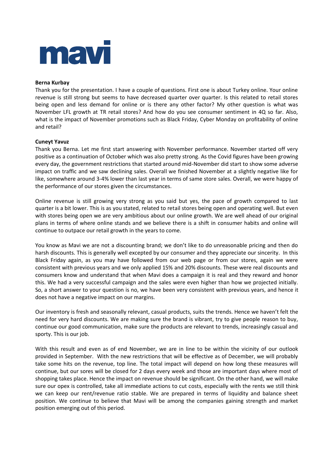

# **Berna Kurbay**

Thank you for the presentation. I have a couple of questions. First one is about Turkey online. Your online revenue is still strong but seems to have decreased quarter over quarter. Is this related to retail stores being open and less demand for online or is there any other factor? My other question is what was November LFL growth at TR retail stores? And how do you see consumer sentiment in 4Q so far. Also, what is the impact of November promotions such as Black Friday, Cyber Monday on profitability of online and retail?

# **Cuneyt Yavuz**

Thank you Berna. Let me first start answering with November performance. November started off very positive as a continuation of October which was also pretty strong. As the Covid figures have been growing every day, the government restrictions that started around mid-November did start to show some adverse impact on traffic and we saw declining sales. Overall we finished November at a slightly negative like for like, somewhere around 3-4% lower than last year in terms of same store sales. Overall, we were happy of the performance of our stores given the circumstances.

Online revenue is still growing very strong as you said but yes, the pace of growth compared to last quarter is a bit lower. This is as you stated, related to retail stores being open and operating well. But even with stores being open we are very ambitious about our online growth. We are well ahead of our original plans in terms of where online stands and we believe there is a shift in consumer habits and online will continue to outpace our retail growth in the years to come.

You know as Mavi we are not a discounting brand; we don't like to do unreasonable pricing and then do harsh discounts. This is generally well excepted by our consumer and they appreciate our sincerity. In this Black Friday again, as you may have followed from our web page or from our stores, again we were consistent with previous years and we only applied 15% and 20% discounts. These were real discounts and consumers know and understand that when Mavi does a campaign it is real and they reward and honor this. We had a very successful campaign and the sales were even higher than how we projected initially. So, a short answer to your question is no, we have been very consistent with previous years, and hence it does not have a negative impact on our margins.

Our inventory is fresh and seasonally relevant, casual products, suits the trends. Hence we haven't felt the need for very hard discounts. We are making sure the brand is vibrant, try to give people reason to buy, continue our good communication, make sure the products are relevant to trends, increasingly casual and sporty. This is our job.

With this result and even as of end November, we are in line to be within the vicinity of our outlook provided in September. With the new restrictions that will be effective as of December, we will probably take some hits on the revenue, top line. The total impact will depend on how long these measures will continue, but our sores will be closed for 2 days every week and those are important days where most of shopping takes place. Hence the impact on revenue should be significant. On the other hand, we will make sure our opex is controlled, take all immediate actions to cut costs, especially with the rents we still think we can keep our rent/revenue ratio stable. We are prepared in terms of liquidity and balance sheet position. We continue to believe that Mavi will be among the companies gaining strength and market position emerging out of this period.